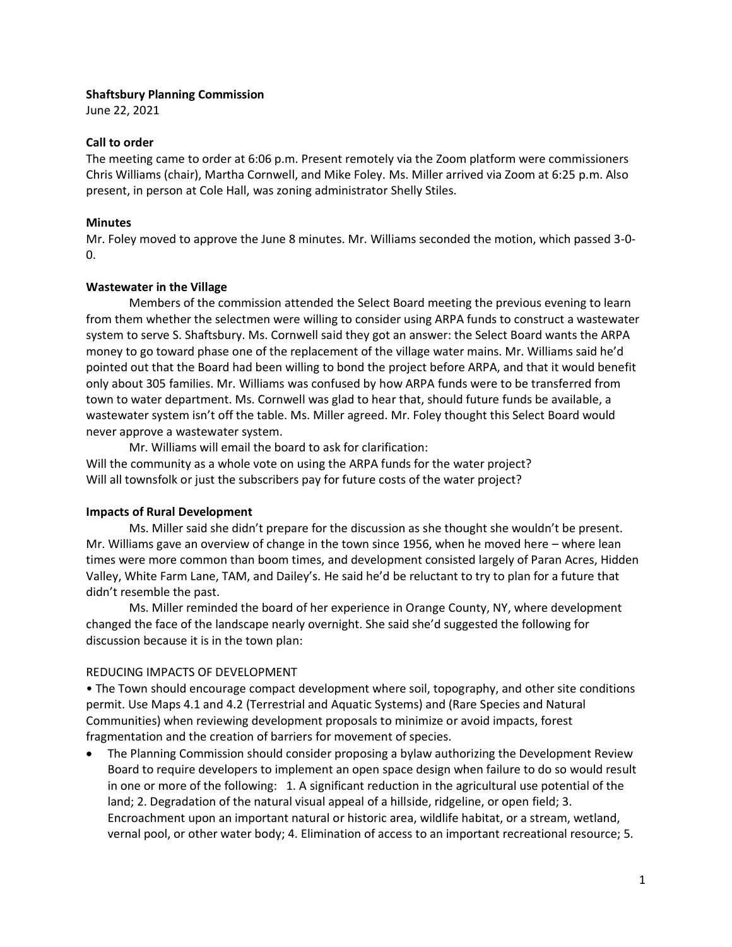### **Shaftsbury Planning Commission**

June 22, 2021

### **Call to order**

The meeting came to order at 6:06 p.m. Present remotely via the Zoom platform were commissioners Chris Williams (chair), Martha Cornwell, and Mike Foley. Ms. Miller arrived via Zoom at 6:25 p.m. Also present, in person at Cole Hall, was zoning administrator Shelly Stiles.

### **Minutes**

Mr. Foley moved to approve the June 8 minutes. Mr. Williams seconded the motion, which passed 3-0- 0.

# **Wastewater in the Village**

Members of the commission attended the Select Board meeting the previous evening to learn from them whether the selectmen were willing to consider using ARPA funds to construct a wastewater system to serve S. Shaftsbury. Ms. Cornwell said they got an answer: the Select Board wants the ARPA money to go toward phase one of the replacement of the village water mains. Mr. Williams said he'd pointed out that the Board had been willing to bond the project before ARPA, and that it would benefit only about 305 families. Mr. Williams was confused by how ARPA funds were to be transferred from town to water department. Ms. Cornwell was glad to hear that, should future funds be available, a wastewater system isn't off the table. Ms. Miller agreed. Mr. Foley thought this Select Board would never approve a wastewater system.

Mr. Williams will email the board to ask for clarification: Will the community as a whole vote on using the ARPA funds for the water project? Will all townsfolk or just the subscribers pay for future costs of the water project?

# **Impacts of Rural Development**

Ms. Miller said she didn't prepare for the discussion as she thought she wouldn't be present. Mr. Williams gave an overview of change in the town since 1956, when he moved here – where lean times were more common than boom times, and development consisted largely of Paran Acres, Hidden Valley, White Farm Lane, TAM, and Dailey's. He said he'd be reluctant to try to plan for a future that didn't resemble the past.

Ms. Miller reminded the board of her experience in Orange County, NY, where development changed the face of the landscape nearly overnight. She said she'd suggested the following for discussion because it is in the town plan:

# REDUCING IMPACTS OF DEVELOPMENT

• The Town should encourage compact development where soil, topography, and other site conditions permit. Use Maps 4.1 and 4.2 (Terrestrial and Aquatic Systems) and (Rare Species and Natural Communities) when reviewing development proposals to minimize or avoid impacts, forest fragmentation and the creation of barriers for movement of species.

• The Planning Commission should consider proposing a bylaw authorizing the Development Review Board to require developers to implement an open space design when failure to do so would result in one or more of the following: 1. A significant reduction in the agricultural use potential of the land; 2. Degradation of the natural visual appeal of a hillside, ridgeline, or open field; 3. Encroachment upon an important natural or historic area, wildlife habitat, or a stream, wetland, vernal pool, or other water body; 4. Elimination of access to an important recreational resource; 5.